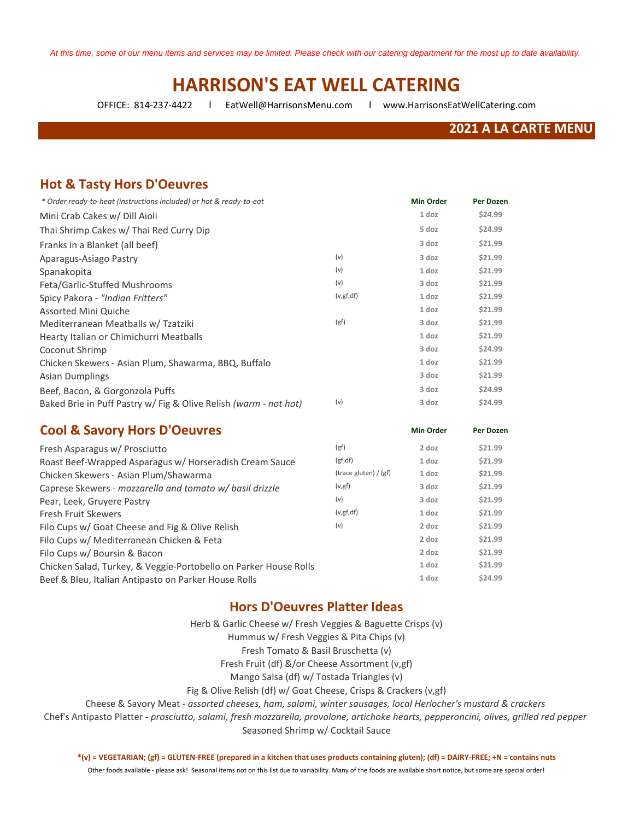*At this time, some of our menu items and services may be limited. Please check with our catering department for the most up to date availability.*

# **HARRISON'S EAT WELL CATERING**

OFFICE: 814-237-4422 l EatWell@HarrisonsMenu.com l www.HarrisonsEatWellCatering.com

#### **2021 A LA CARTE MENU**

#### **Hot & Tasty Hors D'Oeuvres**

| * Order ready-to-heat (instructions included) or hot & ready-to-eat |             | <b>Min Order</b> | Per Dozen |
|---------------------------------------------------------------------|-------------|------------------|-----------|
| Mini Crab Cakes w/ Dill Aioli                                       |             | 1 doz            | \$24.99   |
| Thai Shrimp Cakes w/ Thai Red Curry Dip                             |             | 5 doz            | \$24.99   |
| Franks in a Blanket (all beef)                                      |             | 3 doz            | \$21.99   |
| Aparagus-Asiago Pastry                                              | (v)         | 3 doz            | \$21.99   |
| Spanakopita                                                         | (v)         | 1 doz            | \$21.99   |
| Feta/Garlic-Stuffed Mushrooms                                       | (v)         | 3 doz            | \$21.99   |
| Spicy Pakora - "Indian Fritters"                                    | (v, gf, df) | 1 doz            | \$21.99   |
| Assorted Mini Quiche                                                |             | 1 doz            | \$21.99   |
| Mediterranean Meatballs w/Tzatziki                                  | (gf)        | 3 doz            | \$21.99   |
| Hearty Italian or Chimichurri Meatballs                             |             | 1 doz            | \$21.99   |
| Coconut Shrimp                                                      |             | 3 doz            | \$24.99   |
| Chicken Skewers - Asian Plum, Shawarma, BBQ, Buffalo                |             | 1 doz            | \$21.99   |
| <b>Asian Dumplings</b>                                              |             | 3 doz            | \$21.99   |
| Beef, Bacon, & Gorgonzola Puffs                                     |             | 3 doz            | \$24.99   |
| Baked Brie in Puff Pastry w/ Fig & Olive Relish (warm - not hot)    | (v)         | 3 doz            | \$24.99   |

#### **Cool & Savory Hors D'Oeuvres Min Order Min Order Per Dozen**

| Fresh Asparagus w/ Prosciutto                                    | (gf)                  | $2$ doz | \$21.99 |
|------------------------------------------------------------------|-----------------------|---------|---------|
| Roast Beef-Wrapped Asparagus w/ Horseradish Cream Sauce          | (gf, df)              | 1 doz   | \$21.99 |
| Chicken Skewers - Asian Plum/Shawarma                            | (trace gluten) / (gf) | $1$ doz | \$21.99 |
| Caprese Skewers - mozzarella and tomato w/ basil drizzle         | (v, gf)               | 3 doz   | \$21.99 |
| Pear, Leek, Gruyere Pastry                                       | (v)                   | $3$ doz | \$21.99 |
| <b>Fresh Fruit Skewers</b>                                       | (v, gf, df)           | $1$ doz | \$21.99 |
| Filo Cups w/ Goat Cheese and Fig & Olive Relish                  | (v)                   | $2$ doz | \$21.99 |
| Filo Cups w/ Mediterranean Chicken & Feta                        |                       | $2$ doz | \$21.99 |
| Filo Cups w/ Boursin & Bacon                                     |                       | 2 doz   | \$21.99 |
| Chicken Salad, Turkey, & Veggie-Portobello on Parker House Rolls |                       | $1$ doz | \$21.99 |
| Beef & Bleu, Italian Antipasto on Parker House Rolls             |                       | $1$ doz | \$24.99 |
|                                                                  |                       |         |         |

#### **Hors D'Oeuvres Platter Ideas**

Herb & Garlic Cheese w/ Fresh Veggies & Baguette Crisps (v) Hummus w/ Fresh Veggies & Pita Chips (v) Fresh Tomato & Basil Bruschetta (v) Fresh Fruit (df) &/or Cheese Assortment (v,gf) Mango Salsa (df) w/ Tostada Triangles (v)

Fig & Olive Relish (df) w/ Goat Cheese, Crisps & Crackers (v,gf)

Cheese & Savory Meat - *assorted cheeses, ham, salami, winter sausages, local Herlocher's mustard & crackers* Chef's Antipasto Platter - *prosciutto, salami, fresh mozzarella, provolone, artichoke hearts, pepperoncini, olives, grilled red pepper* Seasoned Shrimp w/ Cocktail Sauce

**\*(v) = VEGETARIAN; (gf) = GLUTEN-FREE (prepared in a kitchen that uses products containing gluten); (df) = DAIRY-FREE; +N = contains nuts**

Other foods available - please ask! Seasonal items not on this list due to variability. Many of the foods are available short notice, but some are special order!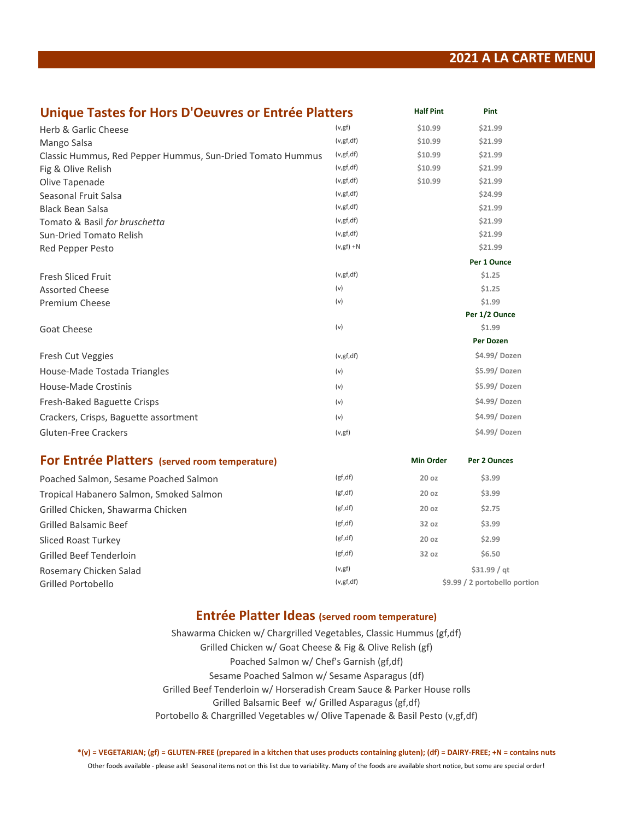#### **2021 A LA CARTE MENU**

#### **Unique Tastes for Hors D'Oeuvres or Entrée Platters Half Pint** Pint

| Herb & Garlic Cheese                                       | (v, gf)       | \$10.99 | \$21.99       |
|------------------------------------------------------------|---------------|---------|---------------|
| Mango Salsa                                                | (v, gf, df)   | \$10.99 | \$21.99       |
| Classic Hummus, Red Pepper Hummus, Sun-Dried Tomato Hummus | (v, gf, df)   | \$10.99 | \$21.99       |
| Fig & Olive Relish                                         | (v, gf, df)   | \$10.99 | \$21.99       |
| Olive Tapenade                                             | (v, gf, df)   | \$10.99 | \$21.99       |
| Seasonal Fruit Salsa                                       | (v, gf, df)   |         | \$24.99       |
| <b>Black Bean Salsa</b>                                    | (v, gf, df)   |         | \$21.99       |
| Tomato & Basil for bruschetta                              | (v, gf, df)   |         | \$21.99       |
| Sun-Dried Tomato Relish                                    | (v, gf, df)   |         | \$21.99       |
| Red Pepper Pesto                                           | $(v, gf) + N$ |         | \$21.99       |
|                                                            |               |         | Per 1 Ounce   |
| <b>Fresh Sliced Fruit</b>                                  | (v, gf, df)   |         | \$1.25        |
| <b>Assorted Cheese</b>                                     | (v)           |         | \$1.25        |
| <b>Premium Cheese</b>                                      | (v)           |         | \$1.99        |
|                                                            |               |         | Per 1/2 Ounce |
| Goat Cheese                                                | (v)           |         | \$1.99        |
|                                                            |               |         | Per Dozen     |
| Fresh Cut Veggies                                          | (v, gf, df)   |         | \$4.99/Dozen  |
| House-Made Tostada Triangles                               | (v)           |         | \$5.99/Dozen  |
| <b>House-Made Crostinis</b>                                | (v)           |         | \$5.99/Dozen  |
| Fresh-Baked Baguette Crisps                                | (v)           |         | \$4.99/Dozen  |
| Crackers, Crisps, Baguette assortment                      | (v)           |         | \$4.99/Dozen  |
| Gluten-Free Crackers                                       | (v, gf)       |         | \$4.99/Dozen  |
|                                                            |               |         |               |

| For Entrée Platters (served room temperature) | Min Order | <b>Per 2 Ounces</b> |
|-----------------------------------------------|-----------|---------------------|
|-----------------------------------------------|-----------|---------------------|

| (gf, df)    | 20 <sub>oz</sub> | \$3.99                        |
|-------------|------------------|-------------------------------|
| (gf, df)    | 20 <sub>oz</sub> | \$3.99                        |
| (gf, df)    | 20 <sub>oz</sub> | \$2.75                        |
| (gf, df)    | 32 oz            | \$3.99                        |
| (gf, df)    | 20 <sub>oz</sub> | \$2.99                        |
| (gf, df)    | 32 oz            | \$6.50                        |
| (v, gf)     |                  | \$31.99 / qt                  |
| (v, gf, df) |                  | \$9.99 / 2 portobello portion |
|             |                  |                               |

#### **Entrée Platter Ideas (served room temperature)**

Grilled Beef Tenderloin w/ Horseradish Cream Sauce & Parker House rolls Portobello & Chargrilled Vegetables w/ Olive Tapenade & Basil Pesto (v,gf,df) Grilled Balsamic Beef w/ Grilled Asparagus (gf,df) Shawarma Chicken w/ Chargrilled Vegetables, Classic Hummus (gf,df) Grilled Chicken w/ Goat Cheese & Fig & Olive Relish (gf) Poached Salmon w/ Chef's Garnish (gf,df) Sesame Poached Salmon w/ Sesame Asparagus (df)

**\*(v) = VEGETARIAN; (gf) = GLUTEN-FREE (prepared in a kitchen that uses products containing gluten); (df) = DAIRY-FREE; +N = contains nuts** Other foods available - please ask! Seasonal items not on this list due to variability. Many of the foods are available short notice, but some are special order!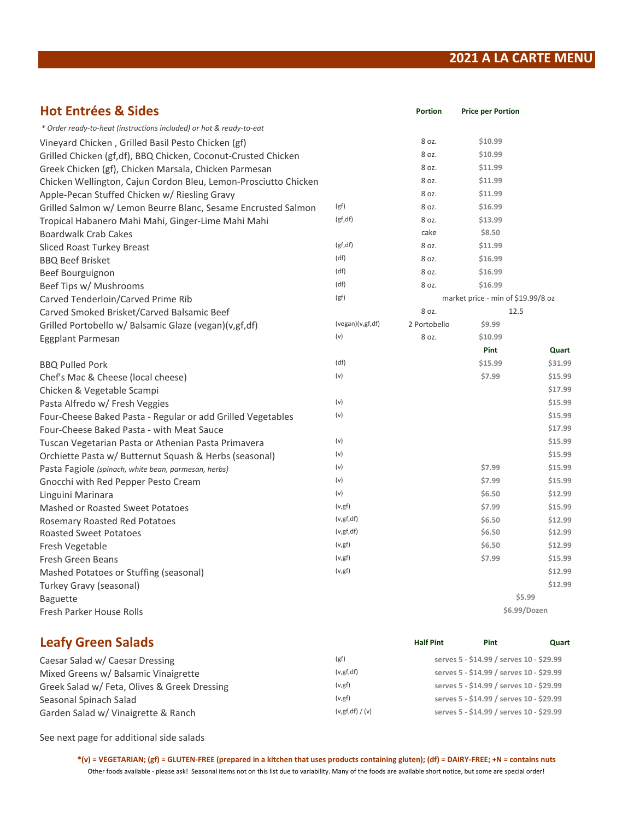### **2021 A LA CARTE MENU**

| <b>Hot Entrées &amp; Sides</b>                                      |                  | <b>Portion</b> | <b>Price per Portion</b>           |         |
|---------------------------------------------------------------------|------------------|----------------|------------------------------------|---------|
| * Order ready-to-heat (instructions included) or hot & ready-to-eat |                  |                |                                    |         |
| Vineyard Chicken, Grilled Basil Pesto Chicken (gf)                  |                  | 8 oz.          | \$10.99                            |         |
| Grilled Chicken (gf,df), BBQ Chicken, Coconut-Crusted Chicken       |                  | 8 oz.          | \$10.99                            |         |
| Greek Chicken (gf), Chicken Marsala, Chicken Parmesan               |                  | 8 oz.          | \$11.99                            |         |
| Chicken Wellington, Cajun Cordon Bleu, Lemon-Prosciutto Chicken     |                  | 8 oz.          | \$11.99                            |         |
| Apple-Pecan Stuffed Chicken w/ Riesling Gravy                       |                  | 8 oz.          | \$11.99                            |         |
| Grilled Salmon w/ Lemon Beurre Blanc, Sesame Encrusted Salmon       | (gf)             | 8 oz.          | \$16.99                            |         |
| Tropical Habanero Mahi Mahi, Ginger-Lime Mahi Mahi                  | (gf, df)         | 8 oz.          | \$13.99                            |         |
| <b>Boardwalk Crab Cakes</b>                                         |                  | cake           | \$8.50                             |         |
| <b>Sliced Roast Turkey Breast</b>                                   | (gf, df)         | 8 oz.          | \$11.99                            |         |
| <b>BBQ Beef Brisket</b>                                             | (df)             | 8 oz.          | \$16.99                            |         |
| Beef Bourguignon                                                    | (df)             | 8 oz.          | \$16.99                            |         |
| Beef Tips w/ Mushrooms                                              | (df)             | 8 oz.          | \$16.99                            |         |
| Carved Tenderloin/Carved Prime Rib                                  | (gf)             |                | market price - min of \$19.99/8 oz |         |
| Carved Smoked Brisket/Carved Balsamic Beef                          |                  | 8 oz.          | 12.5                               |         |
| Grilled Portobello w/ Balsamic Glaze (vegan)(v,gf,df)               | (vegan)(v,gf,df) | 2 Portobello   | \$9.99                             |         |
| Eggplant Parmesan                                                   | (v)              | 8 oz.          | \$10.99                            |         |
|                                                                     |                  |                | Pint                               | Quart   |
| <b>BBQ Pulled Pork</b>                                              | (df)             |                | \$15.99                            | \$31.99 |
| Chef's Mac & Cheese (local cheese)                                  | (v)              |                | \$7.99                             | \$15.99 |
| Chicken & Vegetable Scampi                                          |                  |                |                                    | \$17.99 |
| Pasta Alfredo w/ Fresh Veggies                                      | (v)              |                |                                    | \$15.99 |
| Four-Cheese Baked Pasta - Regular or add Grilled Vegetables         | (v)              |                |                                    | \$15.99 |
| Four-Cheese Baked Pasta - with Meat Sauce                           |                  |                |                                    | \$17.99 |
| Tuscan Vegetarian Pasta or Athenian Pasta Primavera                 | (v)              |                |                                    | \$15.99 |
| Orchiette Pasta w/ Butternut Squash & Herbs (seasonal)              | (v)              |                |                                    | \$15.99 |
| Pasta Fagiole (spinach, white bean, parmesan, herbs)                | (v)              |                | \$7.99                             | \$15.99 |
| Gnocchi with Red Pepper Pesto Cream                                 | (v)              |                | \$7.99                             | \$15.99 |
| Linguini Marinara                                                   | (v)              |                | \$6.50                             | \$12.99 |
| Mashed or Roasted Sweet Potatoes                                    | (v, gf)          |                | \$7.99                             | \$15.99 |
| <b>Rosemary Roasted Red Potatoes</b>                                | (v, gf, df)      |                | \$6.50                             | \$12.99 |
| <b>Roasted Sweet Potatoes</b>                                       | (v, gf, df)      |                | \$6.50                             | \$12.99 |
| Fresh Vegetable                                                     | (v, gf)          |                | \$6.50                             | \$12.99 |
| Fresh Green Beans                                                   | (v, gf)          |                | \$7.99                             | \$15.99 |
| Mashed Potatoes or Stuffing (seasonal)                              | (v, gf)          |                |                                    | \$12.99 |
| Turkey Gravy (seasonal)                                             |                  |                |                                    | \$12.99 |
| Baguette                                                            |                  |                | \$5.99                             |         |
| Fresh Parker House Rolls                                            |                  |                | \$6.99/Dozen                       |         |

| <b>Leafy Green Salads</b>                    |                   | <b>Half Pint</b> | <b>Pint</b>                              | Quart |
|----------------------------------------------|-------------------|------------------|------------------------------------------|-------|
| Caesar Salad w/ Caesar Dressing              | (gf)              |                  | serves 5 - \$14.99 / serves 10 - \$29.99 |       |
| Mixed Greens w/ Balsamic Vinaigrette         | (v, gf, df)       |                  | serves 5 - \$14.99 / serves 10 - \$29.99 |       |
| Greek Salad w/ Feta, Olives & Greek Dressing | (v, gf)           |                  | serves 5 - \$14.99 / serves 10 - \$29.99 |       |
| Seasonal Spinach Salad                       | (v, gf)           |                  | serves 5 - \$14.99 / serves 10 - \$29.99 |       |
| Garden Salad w/ Vinaigrette & Ranch          | (v, gf, df) / (v) |                  | serves 5 - \$14.99 / serves 10 - \$29.99 |       |

See next page for additional side salads

Other foods available - please ask! Seasonal items not on this list due to variability. Many of the foods are available short notice, but some are special order! **\*(v) = VEGETARIAN; (gf) = GLUTEN-FREE (prepared in a kitchen that uses products containing gluten); (df) = DAIRY-FREE; +N = contains nuts**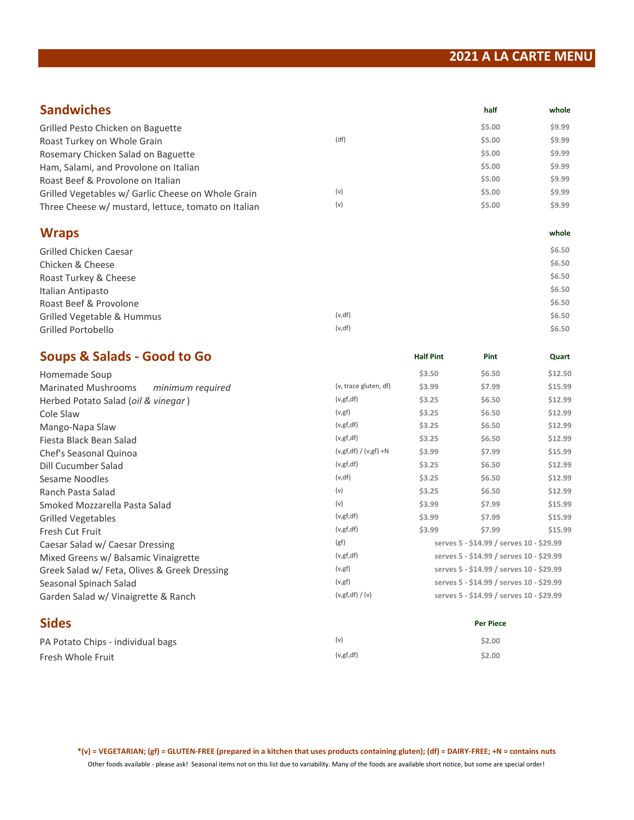## **2021 A LA CARTE MENU**

| <b>Sandwiches</b>                                   |                             |                  | half                                     | whole   |
|-----------------------------------------------------|-----------------------------|------------------|------------------------------------------|---------|
| Grilled Pesto Chicken on Baguette                   |                             |                  | \$5.00                                   | \$9.99  |
| Roast Turkey on Whole Grain                         | (df)                        |                  | \$5.00                                   | \$9.99  |
| Rosemary Chicken Salad on Baguette                  |                             |                  | \$5.00                                   | \$9.99  |
| Ham, Salami, and Provolone on Italian               |                             |                  | \$5.00                                   | \$9.99  |
| Roast Beef & Provolone on Italian                   |                             |                  | \$5.00                                   | \$9.99  |
| Grilled Vegetables w/ Garlic Cheese on Whole Grain  | (v)                         |                  | \$5.00                                   | \$9.99  |
| Three Cheese w/ mustard, lettuce, tomato on Italian | (v)                         |                  | \$5.00                                   | \$9.99  |
| <b>Wraps</b>                                        |                             |                  |                                          | whole   |
| <b>Grilled Chicken Caesar</b>                       |                             |                  |                                          | \$6.50  |
| Chicken & Cheese                                    |                             |                  |                                          | \$6.50  |
| Roast Turkey & Cheese                               |                             |                  |                                          | \$6.50  |
| Italian Antipasto                                   |                             |                  |                                          | \$6.50  |
| Roast Beef & Provolone                              |                             |                  |                                          | \$6.50  |
| Grilled Vegetable & Hummus                          | (v, df)                     |                  |                                          | \$6.50  |
| Grilled Portobello                                  | (v, df)                     |                  |                                          | \$6.50  |
| <b>Soups &amp; Salads - Good to Go</b>              |                             | <b>Half Pint</b> | Pint                                     | Quart   |
| Homemade Soup                                       |                             | \$3.50           | \$6.50                                   | \$12.50 |
| <b>Marinated Mushrooms</b><br>minimum required      | (v, trace gluten, df)       | \$3.99           | \$7.99                                   | \$15.99 |
| Herbed Potato Salad (oil & vinegar)                 | (v, gf, df)                 | \$3.25           | \$6.50                                   | \$12.99 |
| Cole Slaw                                           | (v, gf)                     | \$3.25           | \$6.50                                   | \$12.99 |
| Mango-Napa Slaw                                     | (v, gf, df)                 | \$3.25           | \$6.50                                   | \$12.99 |
| Fiesta Black Bean Salad                             | (v, gf, df)                 | \$3.25           | \$6.50                                   | \$12.99 |
| Chef's Seasonal Quinoa                              | $(v, gf, df) / (v, gf) + N$ | \$3.99           | \$7.99                                   | \$15.99 |
| <b>Dill Cucumber Salad</b>                          | (v, gf, df)                 | \$3.25           | \$6.50                                   | \$12.99 |
| Sesame Noodles                                      | (v, df)                     | \$3.25           | \$6.50                                   | \$12.99 |
| Ranch Pasta Salad                                   | (v)                         | \$3.25           | \$6.50                                   | \$12.99 |
| Smoked Mozzarella Pasta Salad                       | (v)                         | \$3.99           | \$7.99                                   | \$15.99 |
| <b>Grilled Vegetables</b>                           | (v, gf, df)                 | \$3.99           | \$7.99                                   | \$15.99 |
| Fresh Cut Fruit                                     | (v, gf, df)                 | \$3.99           | \$7.99                                   | \$15.99 |
| Caesar Salad w/ Caesar Dressing                     | (gf)                        |                  | serves 5 - \$14.99 / serves 10 - \$29.99 |         |
| Mixed Greens w/ Balsamic Vinaigrette                | (v, gf, df)                 |                  | serves 5 - \$14.99 / serves 10 - \$29.99 |         |
| Greek Salad w/ Feta, Olives & Greek Dressing        | (v, gf)                     |                  | serves 5 - \$14.99 / serves 10 - \$29.99 |         |
| Seasonal Spinach Salad                              | (v, gf)                     |                  | serves 5 - \$14.99 / serves 10 - \$29.99 |         |
| Garden Salad w/ Vinaigrette & Ranch                 | (v, gf, df) / (v)           |                  | serves 5 - \$14.99 / serves 10 - \$29.99 |         |
| <b>Sides</b>                                        |                             |                  | <b>Per Piece</b>                         |         |
| PA Potato Chips - individual bags                   | (v)                         |                  | \$2.00                                   |         |
| Fresh Whole Fruit                                   | (v, gf, df)                 |                  | \$2.00                                   |         |

**\*(v) = VEGETARIAN; (gf) = GLUTEN-FREE (prepared in a kitchen that uses products containing gluten); (df) = DAIRY-FREE; +N = contains nuts** Other foods available - please ask! Seasonal items not on this list due to variability. Many of the foods are available short notice, but some are special order!